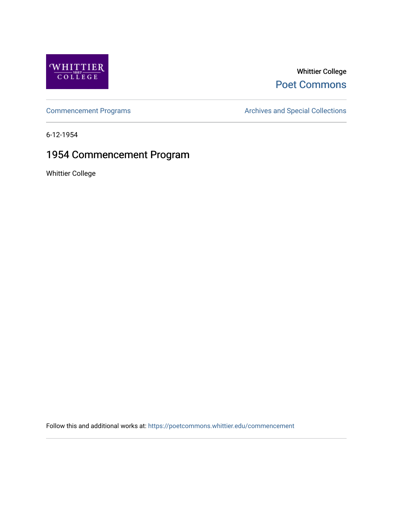

# Whittier College [Poet Commons](https://poetcommons.whittier.edu/)

[Commencement Programs](https://poetcommons.whittier.edu/commencement) **Archives and Special Collections** Archives and Special Collections

6-12-1954

# 1954 Commencement Program

Whittier College

Follow this and additional works at: [https://poetcommons.whittier.edu/commencement](https://poetcommons.whittier.edu/commencement?utm_source=poetcommons.whittier.edu%2Fcommencement%2F38&utm_medium=PDF&utm_campaign=PDFCoverPages)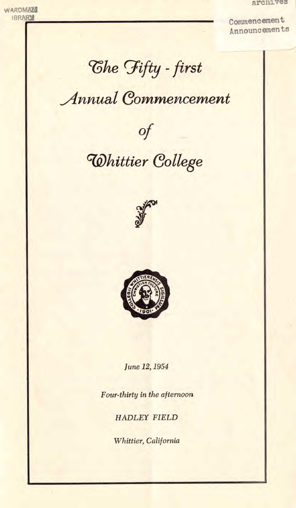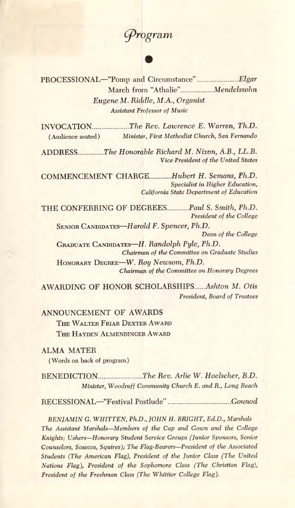# 3'rogram

PROCESSIONAL—"Pomp and Circumstance" Elgar March from "Athalie"................. Mendelssohn Eugene Al. Riddle, M.A., Organist Assistant Professor of Music

INVOCATION.....................The Rev. Lawrence E. Warren, Th.D. (Audience seated) Minister, First Methodist Church, San Fernando

ADDRESS The Honorable Richard M. Nixon, A.B., LL.B. Vice President of the United States

COMMENCEMENT CHARGE Hubert H. Semans, Ph.D. Specialist in Higher Education, California State Department of Education

THE CONFERRING OF DEGREES........... Paul S. Smith, Ph.D. President of the College

SENIOR CANDIDATES—Harold F. Spencer, Ph.D. Dean of the College GRADUATE CANDIDATES—H. Randolph Pyle, Ph.D. Chairman of the Committee on Graduate Studies

HONORARY DEGREE—W. Roy Newsom, Ph.D. Chairman of the Committee on Honorary Degrees

AWARDING OF HONOR SCHOLARSHIPS Ashton M. Otis President, Board of Trustees

ANNOUNCEMENT OF AWARDS

THE WALTER FRIAR DEXTER AWARD THE HAYDEN ALMENDINGER AWARD

ALMA MATER

(Words on back of program)

BENEDICTION The Rev. Arlie W. Hoelscher, B.D. Minister, Woodruff Community Church E. and R., Long Beach

RECESSIONAL—"Festival Postlude" Gounod

BENJAMIN C. WH1TTEN, Ph.D., JOHN H. BRIGHT, Ed.D., Marshals The. Assistant Marshals—Members of the Cap and Gown and the College Knights; Ushers—Honorary Student Service Groups (Junior Sponsors, Senior Counselors, Sosecos, Squires); The Flag-Bearers—President of the Associated Students (The American Flag), President of the Junior Class (The United Nations Flag), President of the Sophomore Class (The Christian Flag), President of the Freshman Class (The Whittier College Flag).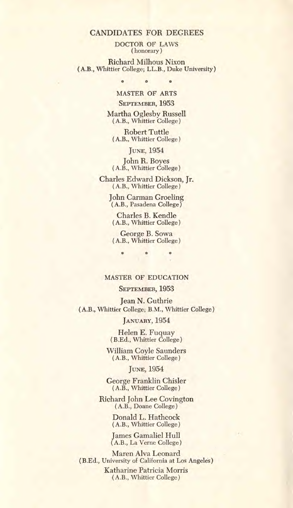DOCTOR OF LAWS (honorary)

Richard Milhous Nixon (A.B., Whittier College; LL.B., Duke University)

> **0 0 0**  MASTER OF ARTS

SEPTEMBER, 1953

Martha Oglesby Russell (A.B., Whittier College)

Robert Tuttle (A.B., Whittier College)

JUNE, 1954

John R. Boyes (A.B., Whittier College)

Charles Edward Dickson, Jr. (A.B., Whittier College)

> John Carman Groeling (A.B., Pasadena College)

Charles B. Kendle (A.B., Whittier College)

George B. Sowa (A.B., Whittier College)

ö

### MASTER OF EDUCATION

# SEPTEMBER, 1953

Jean N. Guthrie (A.B., Whittier College; B.M., Whittier College)

JANUARY, 1954

Helen E. Fuquay (B.Ed., Whittier College)

William Coyle Saunders (A.B., Whittier College)

JUNE, 1954

George Franklin Chisler (A.B., Whittier College)

Richard John Lee Covington (A.B., Doane College)

> Donald L. Hathcock (A.B., Whittier College)

James Gamaliel Hull (A.B., La Verne College)

Maren Alva Leonard (B.Ed., University of California at Los Angeles)

> Katharine Patricia Morris (A.B., Whittier College)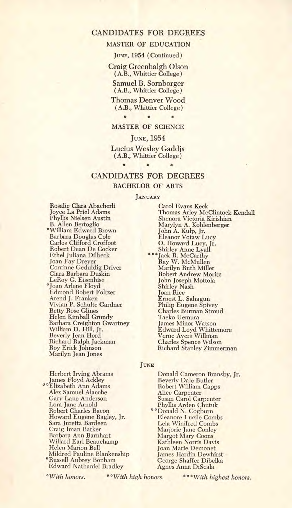### MASTER OF EDUCATION

JUNE, 1954 (Continued)

Craig Greenhaigh Olson (A.B., Whittier College)

Samuel B. Sornborger (A.B., Whittier College)

Thomas Denver Wood (A.B., Whittier College)

# \* 0 \* MASTER OF SCIENCE

#### JUNE, 1954

Lucius Wesley Gaddis (A.B., Whittier College) **0 0 0** 

# CANDIDATES FOR DEGREES BACHELOR OF ARTS

#### JANUARY

Rosalie Clara Abacherli Joyce La Priel Adams Phyllis Nielsen Austin B. Allen Bertoglio \*William Edward Brown Barbara Douglas Cole Carlos Clifford Croffoot Robert Dean De Cocker Ethel Juliana Dilbeck Joan Fay Dreyer Corrinne Geduldig Driver Clara Barbara Duskin LeRoy C. Eisenbise \*Joan Arlene Floyd Edmond Robert Foltzer Arend J. Franken Vivian P. Schulte Gardner Betty Rose Clines Helen Kimball Grundy Barbara Creighton Gwartney William D. Hill, Jr. Beverly Jean Hord Richard Ralph Jackman Roy Erick Johnson Marilyn Jean Jones

Carol Evans Keck Thomas Arley McClintock Kendall Shenora Victoria Kirishian Marylyn A. Kohlenberger John A. Kulp, Jr. Eleanor Votaw Lucy O. Howard Lucy, Jr. Shirley Anne Lyall \*\*\*Jack R. McCarthy Ray W. McMullen Marilyn Ruth Miller Robert Andrew Moritz John Joseph Mottola Shirley Nash Joan Rice Ernest L. Sahagun Philip Eugene Spivey Charles Burman Stroud Taeko Uemura James Minor Watson Edward Loyd Whittemore Verne Avers Willman Charles Spence Wilson Richard Stanley Zimmerman

#### **JUNE**

Herbert Irving Abrams James Floyd Ackley "Elizabeth Ann Adams Alex Samuel Alacche Gary Lane Anderson Lora Jane Arnold Robert Charles Bacon Howard Eugene Bagley, Jr. Sara Juretta Bardeen Craig Iman Barker Barbara Ann Barnhart Willard Earl Beauchamp Helen Marion Bell Mildred Pauline Blankenship \*Russell Aubrey Bonham Edward Nathaniel Bradley

Donald Cameron Bransby, Jr. Beverly Dale Butler Robert William Capps Alice Carpenter Susan Carol Carpenter Phyllis Arden Chutuk \*\* Donald N. Cogburn Eleanore Lucile Combs Lela Winifred Combs Marjorie Jane Conley Margot Mary Coons Kathleen Norris Davis Joan Marie Demonet James Hardin Dewhirst George Shaffer Dibelka Agnes Anna DiScala

\*With honors. \*\*\*With high honors. \*\*\* With highest honors.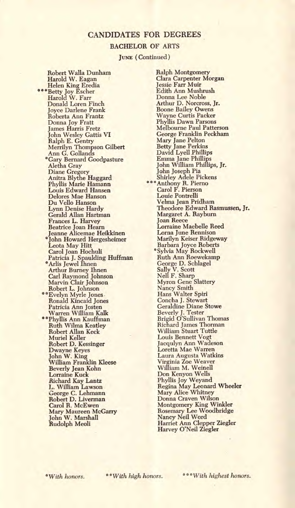#### BACHELOR OF ARTS

JUNE (Continued)

Robert Walla Dunham Harold W. Eagan Helen King Eredia \*\*\*Betty Joy Escher Harold W. Farr Donald Loren Finch Joyce Darlene Frank Roberta Ann Frantz Donna Joy Fratt James Harris Fretz John Wesley Gattis VI Ralph E. Gentry Merrilyn Thompson Gilbert Ann G. Gollands \*Cary Bernard Goodpasture Aletha Gray Diane Gregory Anitxa Blythe Haggard Phyllis Marie Hamann Louis Edward Hansen Delores Mae Hanson Du Vello Hanson Lynn Denise Hardy Gerald Allan Hartman Frances L. Harvey Beatrice Joan Hearn Jeanne Alicemae Heikkinen 'John Howard Hergesheimer Leota May Hitt Carol Joan Hochuli Patricia J. Spaulding Huffman \*Arlis Jewel Ihnen Arthur Burney Ihnen Carl Raymond Johnson Marvin Clair Johnson Robert L. Johnson "Evelyn Myrle Jones. Ronald Kincaid Jones Patricia Ann Josten Warren William Kalk \* \*Phyllis Ann Kauffman Ruth Wilma Keatley Robert Allan Keck Muriel Keller Robert D. Kessinger Dwayne Keyes John W. King<br>William Franklin Kleese Beverly Jean Kohn Lorraine Kuck Richard Kay Lantz L. William Lawson George C. Lehmann Robert D. Liverman Carol R. McEwen Mary Maureen McGarry John W. Marshall Rudolph Meoli

**Ralph Montgomery** Clara Carpenter Morgan Jessie Farr Muir Edith Ann Mushrush Donna Lee Noble Arthur D. Norcross, Jr. Boone Bailey Owens Wayne Curtis Packer Phyllis Dawn Parsons Melbourne Paul Patterson George Franklin Peckham Mary Jane Pelton Betty Jane Perkins David Lyell Phillips Emma Jane Phillips<br>John William Phillips, Jr. John Joseph Pia Shirley Adele Pickens **Anthony R. Pierno**<br>Carol F. Pierson Louie Pontrelli Velma Jean Pridham Theodore Edward Rasmussen, Jr. Margaret A. Rayburn Joan Reece Lorraine Maebelle Reed Lorna June Rennison Marilyn Keiser Ridgeway Barbara Joyce Roberts \*Sylvia May Rockwell Ruth Ann Roewekamp George D. Schlagel Sally V. Scott Nell F. Sharp Myron Gene Slattery Nancy Smith<br>Hans Walter Spiri Concha J. Stewart Geraldine Diane Stowe Beverly J. Tester<br>Brigid O'Sullivan Thomas Richard James Thorman William Stuart Tuttle Louis Bennett Vogt Jacqulyn Ann Wadeson Loretta Mae Warren Laura Augusta Watkins Virginia Zoe Weaver William M. Weinell Don Kenyon Wells Phyllis Joy Weyand Regina May Leonard Wheeler Mary Alice Whitney Donna Craven Wilson Montgomery King Winkler Rosemary Lee Woodbridge Nancy Neil Word Harriet Ann Clepper Ziegler Harvey O'Neil Ziegler

\*With honors. \* \*With high honors. 0 0 \*with highest honors.